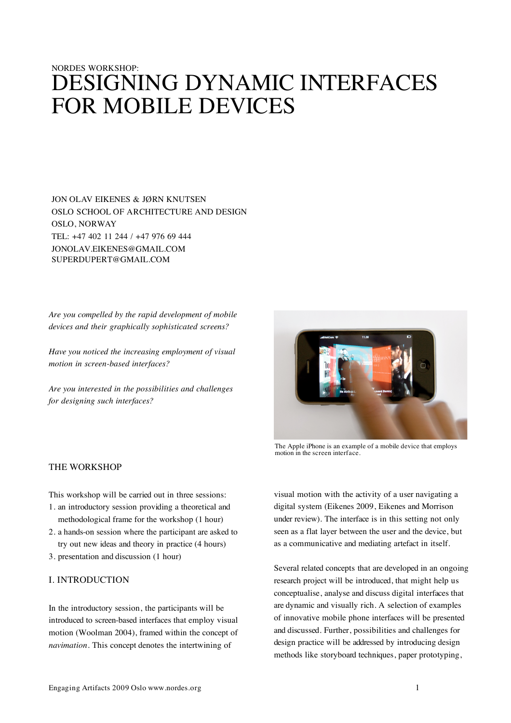# NORDES WORKSHOP: DESIGNING DYNAMIC INTERFACES FOR MOBILE DEVICES

JON OLAV EIKENES & JØRN KNUTSEN OSLO SCHOOL OF ARCHITECTURE AND DESIGN OSLO, NORWAY TEL: +47 402 11 244 / +47 976 69 444 JONOLAV.EIKENES@GMAIL.COM SUPERDUPERT@GMAIL.COM

*Are you compelled by the rapid development of mobile devices and their graphically sophisticated screens?* 

*Have you noticed the increasing employment of visual motion in screen-based interfaces?*

*Are you interested in the possibilities and challenges for designing such interfaces?*



The Apple iPhone is an example of a mobile device that employs motion in the screen interface.

THE WORKSHOP

This workshop will be carried out in three sessions:

- 1. an introductory session providing a theoretical and methodological frame for the workshop (1 hour)
- 2. a hands-on session where the participant are asked to try out new ideas and theory in practice (4 hours)
- 3. presentation and discussion (1 hour)

# I. INTRODUCTION

In the introductory session, the participants will be introduced to screen-based interfaces that employ visual motion (Woolman 2004), framed within the concept of *navimation*. This concept denotes the intertwining of

visual motion with the activity of a user navigating a digital system (Eikenes 2009, Eikenes and Morrison under review). The interface is in this setting not only seen as a flat layer between the user and the device, but as a communicative and mediating artefact in itself.

Several related concepts that are developed in an ongoing research project will be introduced, that might help us conceptualise, analyse and discuss digital interfaces that are dynamic and visually rich. A selection of examples of innovative mobile phone interfaces will be presented and discussed. Further, possibilities and challenges for design practice will be addressed by introducing design methods like storyboard techniques, paper prototyping,